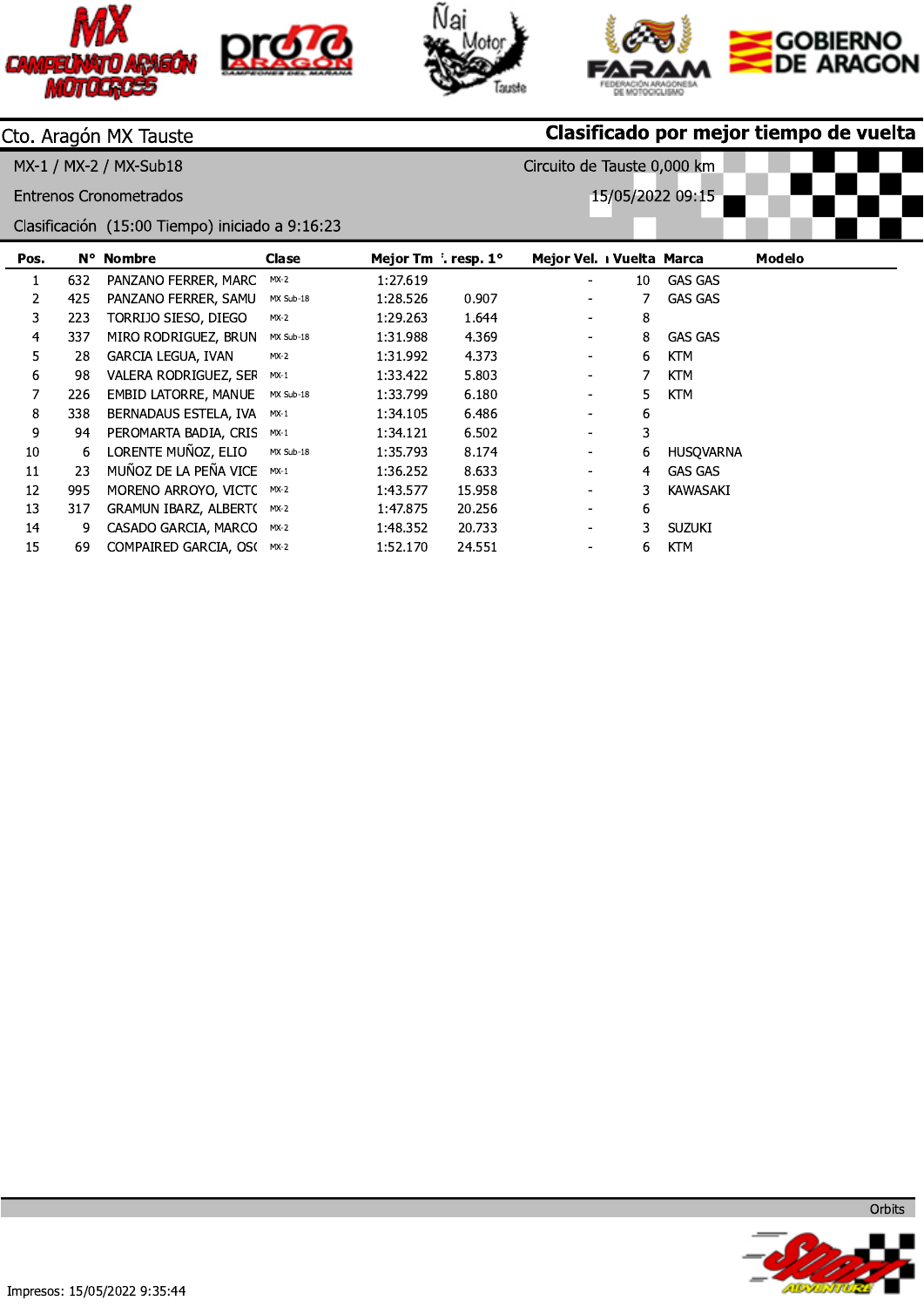







Circuito de Tauste 0,000 km

15/05/2022 09:15

# Cto. Aragón MX Tauste

MX-1 / MX-2 / MX-Sub18

**Entrenos Cronometrados** 

Clasificación (15:00 Tiempo) iniciado a 9:16:23

| Pos. |     | N° Nombre                        | Clase     | Mejor Tm $\int$ . resp. 1° |        | Mejor Vel. 1 Vuelta Marca |    |                | <b>Modelo</b> |
|------|-----|----------------------------------|-----------|----------------------------|--------|---------------------------|----|----------------|---------------|
|      | 632 | PANZANO FERRER, MARC             | $MX-2$    | 1:27.619                   |        | $\overline{\phantom{a}}$  | 10 | <b>GAS GAS</b> |               |
| 2    | 425 | PANZANO FERRER, SAMU             | MX Sub-18 | 1:28.526                   | 0.907  | $\overline{\phantom{a}}$  |    | <b>GAS GAS</b> |               |
| 3.   | 223 | TORRIJO SIESO, DIEGO             | MX-2      | 1:29.263                   | 1.644  | $\overline{\phantom{a}}$  | 8  |                |               |
| 4    | 337 | MIRO RODRIGUEZ, BRUN             | MX Sub-18 | 1:31.988                   | 4.369  | $\overline{\phantom{a}}$  | 8  | <b>GAS GAS</b> |               |
| 5    | 28  | GARCIA LEGUA, IVAN               | $MX-2$    | 1:31.992                   | 4.373  | $\overline{\phantom{a}}$  | 6  | <b>KTM</b>     |               |
| 6    | 98  | VALERA RODRIGUEZ, SEF            | $MX-1$    | 1:33.422                   | 5.803  | $\blacksquare$            |    | <b>KTM</b>     |               |
| 7    | 226 | EMBID LATORRE, MANUE             | MX Sub-18 | 1:33.799                   | 6.180  | $\overline{\phantom{a}}$  | 5. | KTM            |               |
| 8    | 338 | BERNADAUS ESTELA, IVA            | $MX-1$    | 1:34.105                   | 6.486  | $\overline{\phantom{a}}$  | 6  |                |               |
| 9    | 94  | PEROMARTA BADIA, CRIS            | $MX-1$    | 1:34.121                   | 6.502  | $\blacksquare$            | 3  |                |               |
| 10   | 6.  | LORENTE MUÑOZ, ELIO              | MX Sub-18 | 1:35.793                   | 8.174  | $\overline{\phantom{a}}$  | 6. | HUSOVARNA      |               |
| 11   | 23  | MUÑOZ DE LA PEÑA VICE            | $MX-1$    | 1:36.252                   | 8.633  | $\overline{\phantom{a}}$  | 4  | GAS GAS        |               |
| 12   | 995 | MORENO ARROYO, VICTC             | $MX-2$    | 1:43.577                   | 15.958 | $\overline{\phantom{a}}$  | 3  | KAWASAKI       |               |
| 13   | 317 | <b>GRAMUN IBARZ, ALBERT(MX-2</b> |           | 1:47.875                   | 20.256 | $\overline{\phantom{a}}$  | 6  |                |               |
| 14   | 9.  | CASADO GARCIA, MARCO             | MX-2      | 1:48.352                   | 20.733 | $\blacksquare$            | 3  | SUZUKI         |               |
| 15   | 69  | COMPAIRED GARCIA, OS(MX-2        |           | 1:52.170                   | 24.551 | $\overline{\phantom{a}}$  | 6. | KTM            |               |



albez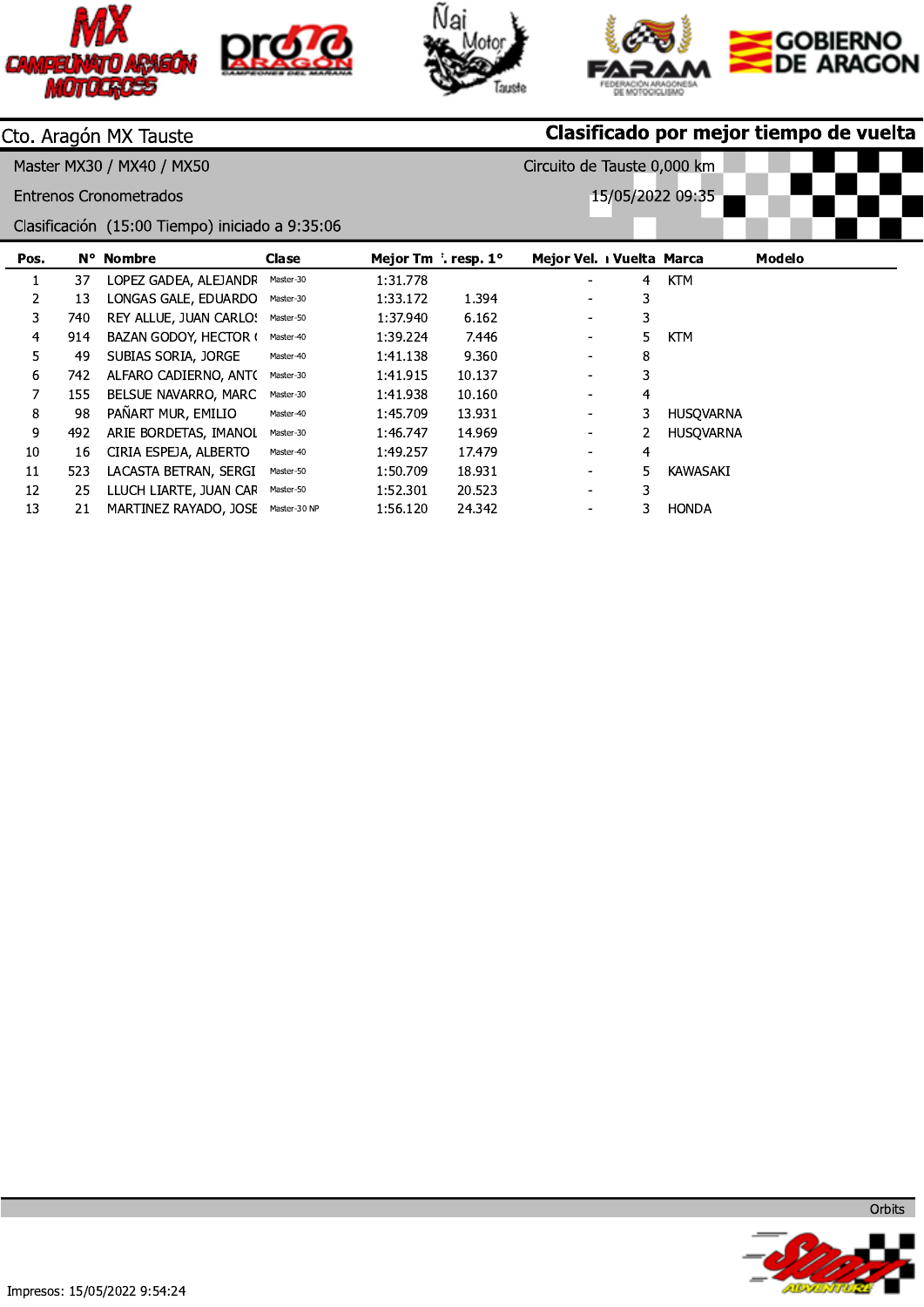







Circuito de Tauste 0,000 km

15/05/2022 09:35

## Cto. Aragón MX Tauste

Master MX30 / MX40 / MX50

**Entrenos Cronometrados** 

Clasificación (15:00 Tiempo) iniciado a 9:35:06

| Pos. |      | N° Nombre              | Clase        | Mejor Tm $\int$ . resp. 1° |        | Mejor Vel. 1 Vuelta Marca |    |                  | Modelo |
|------|------|------------------------|--------------|----------------------------|--------|---------------------------|----|------------------|--------|
|      | 37   | LOPEZ GADEA, ALEJANDF  | Master-30    | 1:31.778                   |        | ۰                         | 4  | <b>KTM</b>       |        |
| 2    | 13   | LONGAS GALE, EDUARDO   | Master-30    | 1:33.172                   | 1.394  | $\overline{\phantom{0}}$  | 3  |                  |        |
| 3    | 740. | REY ALLUE, JUAN CARLO! | Master-50    | 1:37.940                   | 6.162  | $\blacksquare$            | 3. |                  |        |
| 4    | 914  | BAZAN GODOY, HECTOR (  | Master-40    | 1:39.224                   | 7.446  | $\sim$                    | 5. | <b>KTM</b>       |        |
| 5    | 49   | SUBIAS SORIA, JORGE    | Master-40    | 1:41.138                   | 9.360  | $\blacksquare$            | 8  |                  |        |
| 6    | 742  | ALFARO CADIERNO, ANTO  | Master-30    | 1:41.915                   | 10.137 | $\overline{\phantom{a}}$  | 3  |                  |        |
| 7    | 155  | BELSUE NAVARRO, MARC   | Master-30    | 1:41.938                   | 10.160 | $\overline{\phantom{a}}$  | 4  |                  |        |
| 8    | 98   | PAÑART MUR, EMILIO     | Master-40    | 1:45.709                   | 13.931 | $\overline{\phantom{a}}$  | 3  | <b>HUSOVARNA</b> |        |
| 9    | 492  | ARIE BORDETAS, IMANOL  | Master-30    | 1:46.747                   | 14.969 | $\blacksquare$            | 2  | <b>HUSOVARNA</b> |        |
| 10   | 16   | CIRIA ESPEJA, ALBERTO  | Master-40    | 1:49.257                   | 17.479 | $\blacksquare$            | 4  |                  |        |
| 11   | 523  | LACASTA BETRAN, SERGI  | Master-50    | 1:50.709                   | 18.931 | $\overline{\phantom{a}}$  | 5  | KAWASAKI         |        |
| 12   | 25   | LLUCH LIARTE, JUAN CAF | Master-50    | 1:52.301                   | 20.523 | ۰.                        | 3  |                  |        |
| 13   | 21   | MARTINEZ RAYADO, JOSE  | Master-30 NP | 1:56.120                   | 24.342 |                           |    | <b>HONDA</b>     |        |



Orbits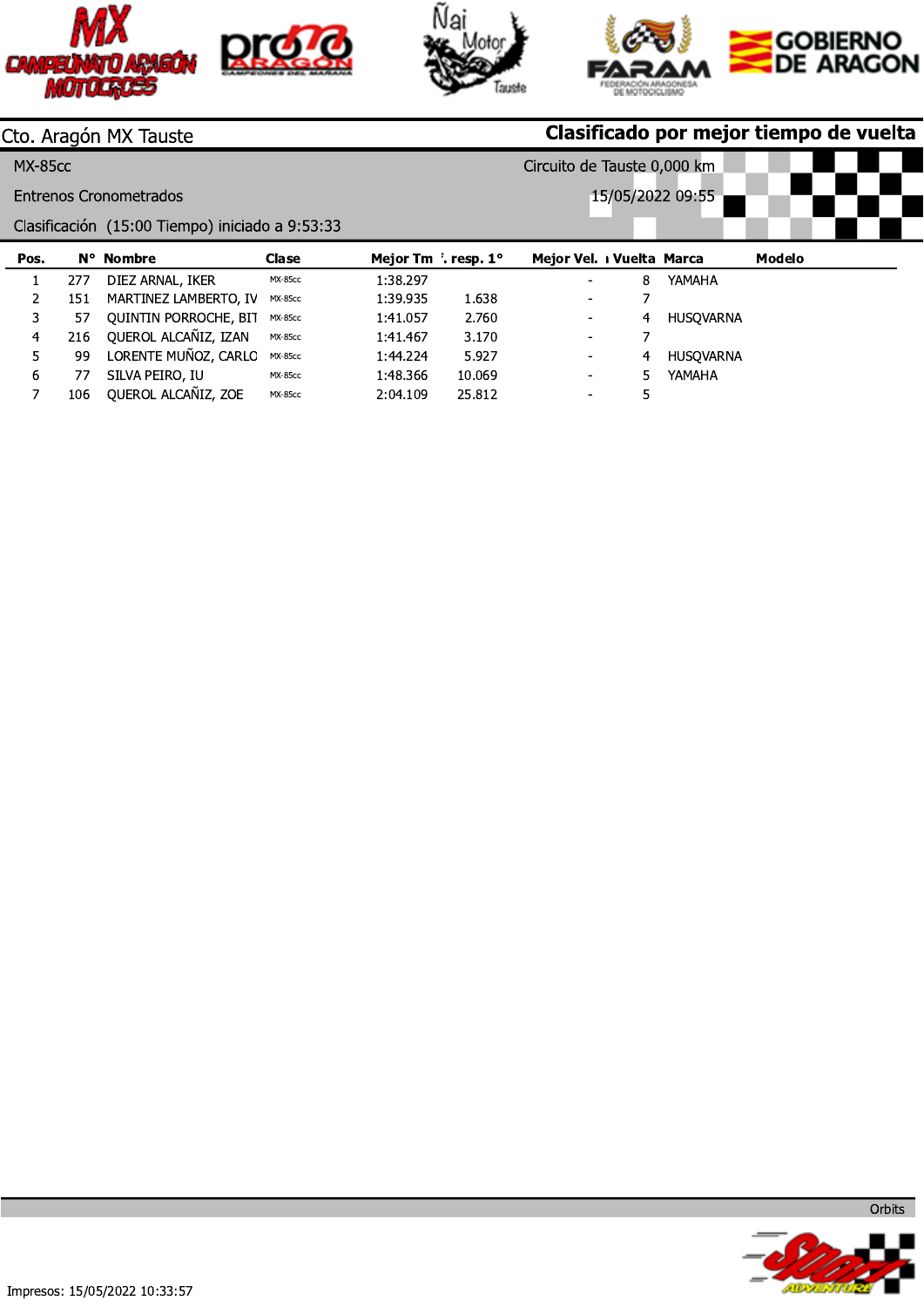





Circuito de Tauste 0,000 km

15/05/2022 09:55

## Cto. Aragón MX Tauste

**MX-85cc** 

**Entrenos Cronometrados** 

Clasificación (15:00 Tiempo) iniciado a 9:53:33

| Pos. |     | N° Nombre                    | Clase          | Mejor Tm f. resp. 1° |        | Mejor Vel. I Vuelta Marca |   |           | Modelo |
|------|-----|------------------------------|----------------|----------------------|--------|---------------------------|---|-----------|--------|
|      | 277 | DIEZ ARNAL, IKER             | <b>MX-85cc</b> | 1:38.297             |        | ٠                         | 8 | YAMAHA    |        |
|      | 151 | MARTINEZ LAMBERTO, IV        | <b>MX-85cc</b> | 1:39.935             | 1.638  | $\overline{\phantom{a}}$  |   |           |        |
|      | 57  | <b>OUINTIN PORROCHE, BIT</b> | <b>MX-85cc</b> | 1:41.057             | 2.760  | $\overline{\phantom{a}}$  | 4 | HUSOVARNA |        |
| 4    | 216 | QUEROL ALCAÑIZ, IZAN         | <b>MX-85cc</b> | 1:41.467             | 3.170  | ٠                         |   |           |        |
|      | 99  | LORENTE MUÑOZ, CARLC         | MX-85cc        | 1:44.224             | 5.927  | ۰.                        | 4 | HUSOVARNA |        |
| 6    | 77  | SILVA PEIRO, IU              | <b>MX-85cc</b> | 1:48.366             | 10.069 | $\overline{\phantom{a}}$  |   | YAMAHA    |        |
|      | 106 | QUEROL ALCAÑIZ, ZOE          | <b>MX-85cc</b> | 2:04.109             | 25.812 | $\sim$                    |   |           |        |





Orbits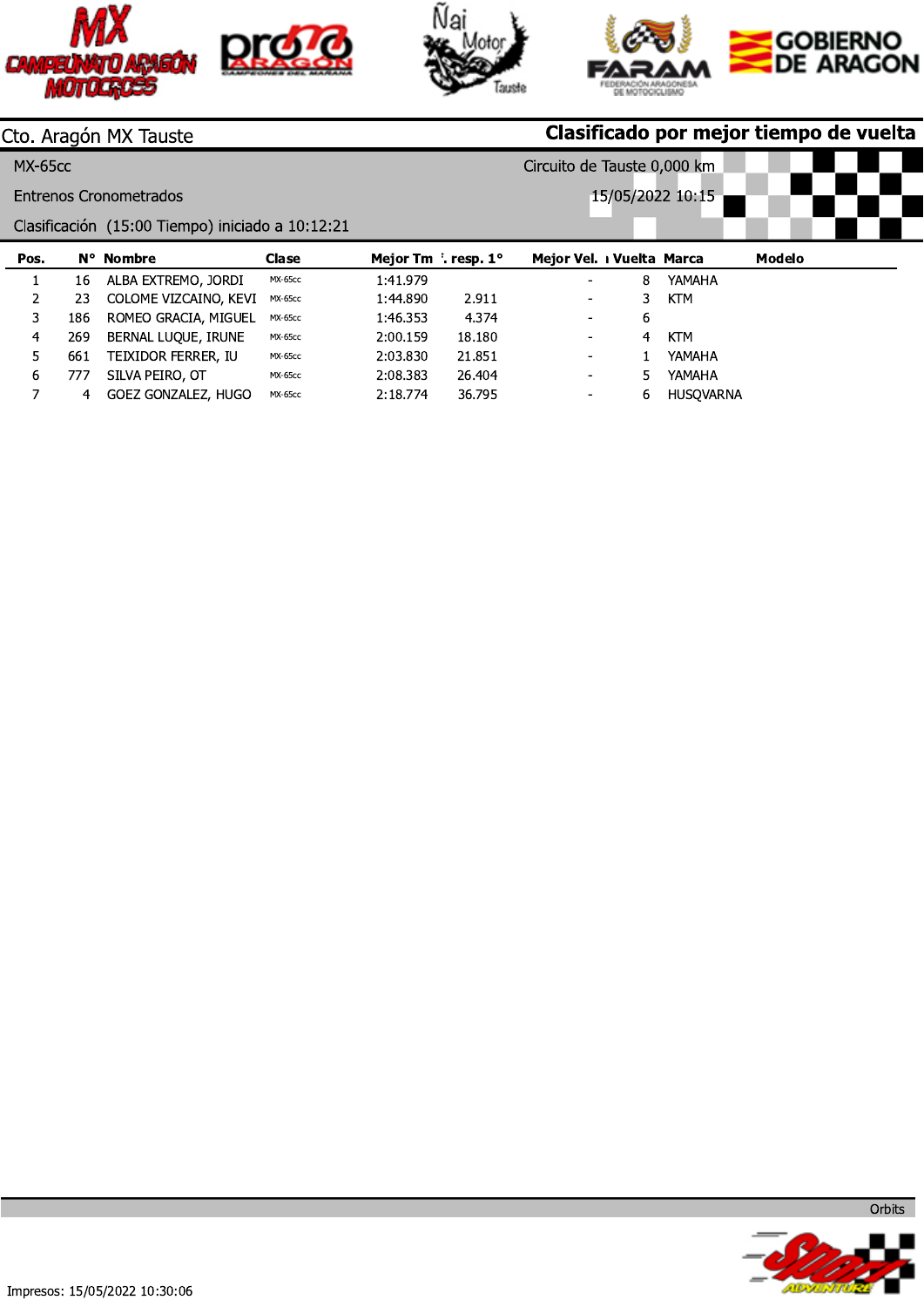





Circuito de Tauste 0,000 km

## Cto. Aragón MX Tauste

**MX-65cc** 

**Entrenos Cronometrados** 

Clasificación (15:00 Tiempo) iniciado a 10:12:21

| Pos. |     | N° Nombre             | Clase          | Mejor Tm f. resp. 1° |        | Mejor Vel. I Vuelta Marca |   |            | Modelo |
|------|-----|-----------------------|----------------|----------------------|--------|---------------------------|---|------------|--------|
|      | 16  | ALBA EXTREMO, JORDI   | MX-65cc        | 1:41.979             |        | -                         | 8 | YAMAHA     |        |
|      | 23  | COLOME VIZCAINO, KEVI | MX-65cc        | 1:44.890             | 2.911  | $\overline{\phantom{a}}$  |   | KTM        |        |
|      | 186 | ROMEO GRACIA, MIGUEL  | <b>MX-65cc</b> | 1:46.353             | 4.374  | $\blacksquare$            | b |            |        |
| 4    | 269 | BERNAL LUOUE, IRUNE   | MX-65cc        | 2:00.159             | 18.180 | $\blacksquare$            | 4 | <b>KTM</b> |        |
|      | 661 | TEIXIDOR FERRER, IU   | <b>MX-65cc</b> | 2:03.830             | 21.851 | $\blacksquare$            |   | YAMAHA     |        |
| ь    | 777 | SILVA PEIRO, OT       | <b>MX-65cc</b> | 2:08.383             | 26.404 | $\overline{\phantom{a}}$  |   | YAMAHA     |        |
|      | 4   | GOEZ GONZALEZ, HUGO   | MX-65cc        | 2:18.774             | 36.795 | ۰.                        | b | HUSOVARNA  |        |

15/05/2022 10:15

AIDVA

Orbits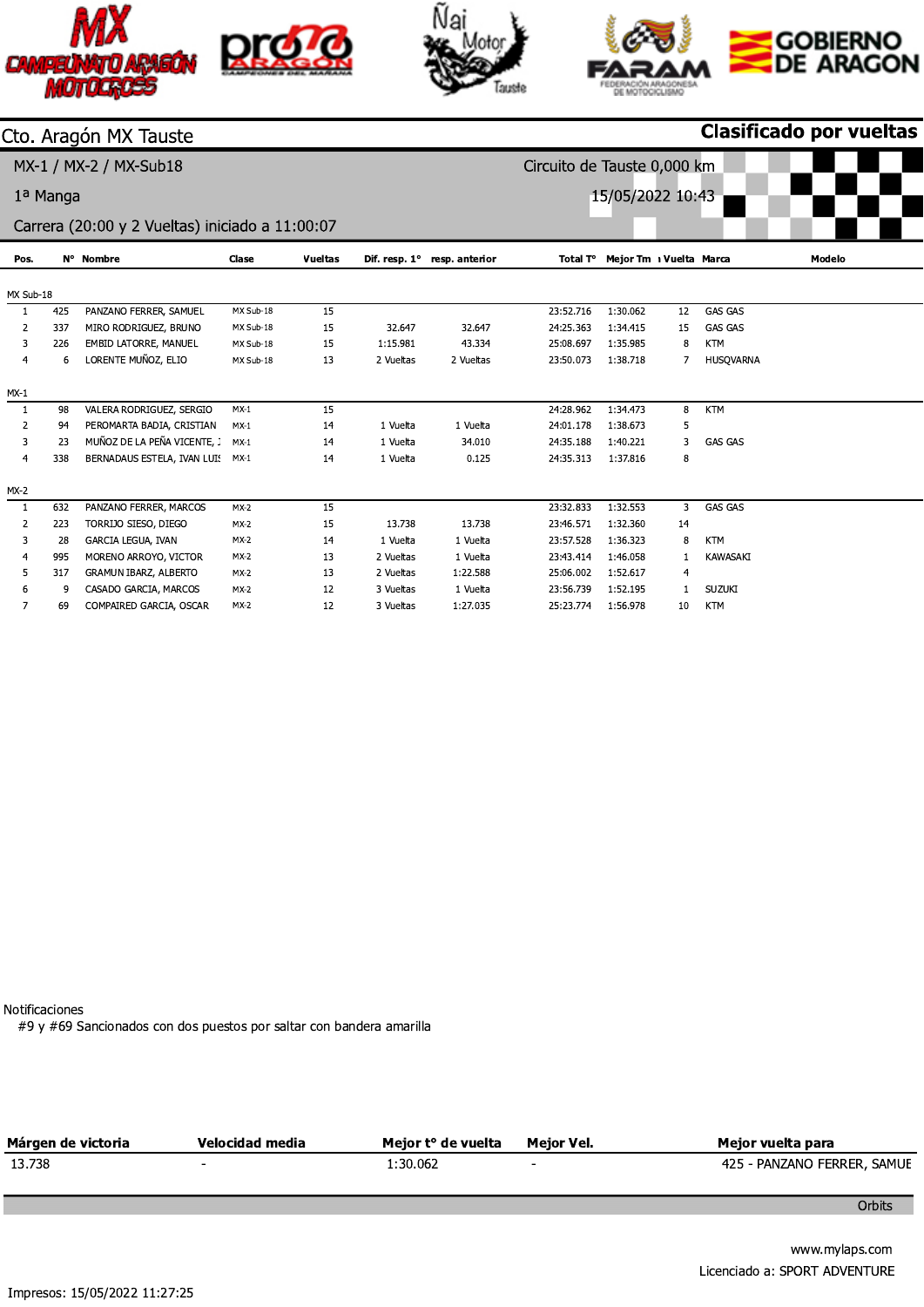





### Cto. Aragón MX Tauste

MX-1 / MX-2 / MX-Sub18

1ª Manga

15/05/2022 10:43



Carrera (20:00 y 2 Vueltas) iniciado a 11:00:07

| Pos.      |     | N° Nombre                   | Clase     | Vueltas |           | Dif. resp. $1^\circ$ resp. anterior |           | Total T° Mejor Tm 1 Vuelta Marca |    |                  | Modelo |
|-----------|-----|-----------------------------|-----------|---------|-----------|-------------------------------------|-----------|----------------------------------|----|------------------|--------|
|           |     |                             |           |         |           |                                     |           |                                  |    |                  |        |
| MX Sub-18 |     |                             |           |         |           |                                     |           |                                  |    |                  |        |
| 1         | 425 | PANZANO FERRER, SAMUEL      | MX Sub-18 | 15      |           |                                     | 23:52.716 | 1:30.062                         | 12 | <b>GAS GAS</b>   |        |
| 2         | 337 | MIRO RODRIGUEZ, BRUNO       | MX Sub-18 | 15      | 32.647    | 32.647                              | 24:25.363 | 1:34.415                         | 15 | <b>GAS GAS</b>   |        |
| 3         | 226 | EMBID LATORRE, MANUEL       | MX Sub-18 | 15      | 1:15.981  | 43.334                              | 25:08.697 | 1:35.985                         | 8  | <b>KTM</b>       |        |
| 4         | 6   | LORENTE MUÑOZ, ELIO         | MX Sub-18 | 13      | 2 Vueltas | 2 Vueltas                           | 23:50.073 | 1:38.718                         |    | <b>HUSQVARNA</b> |        |
| $MX-1$    |     |                             |           |         |           |                                     |           |                                  |    |                  |        |
| 1         | 98  | VALERA RODRIGUEZ, SERGIO    | $MX-1$    | 15      |           |                                     | 24:28.962 | 1:34.473                         | 8  | <b>KTM</b>       |        |
| 2         | 94  | PEROMARTA BADIA, CRISTIAN   | $MX-1$    | 14      | 1 Vuelta  | 1 Vuelta                            | 24:01.178 | 1:38.673                         | 5  |                  |        |
| 3         | 23  | MUÑOZ DE LA PEÑA VICENTE,   | $MX-1$    | 14      | 1 Vuelta  | 34.010                              | 24:35.188 | 1:40.221                         | 3  | <b>GAS GAS</b>   |        |
| 4         | 338 | BERNADAUS ESTELA, IVAN LUI! | $MX-1$    | 14      | 1 Vuelta  | 0.125                               | 24:35.313 | 1:37.816                         | 8  |                  |        |
| $MX-2$    |     |                             |           |         |           |                                     |           |                                  |    |                  |        |
| 1         | 632 | PANZANO FERRER, MARCOS      | $MX-2$    | 15      |           |                                     | 23:32.833 | 1:32.553                         | 3  | <b>GAS GAS</b>   |        |
| 2         | 223 | TORRIJO SIESO, DIEGO        | $MX-2$    | 15      | 13.738    | 13.738                              | 23:46.571 | 1:32.360                         | 14 |                  |        |
| 3         | 28  | GARCIA LEGUA, IVAN          | $MX-2$    | 14      | 1 Vuelta  | 1 Vuelta                            | 23:57.528 | 1:36.323                         | 8  | <b>KTM</b>       |        |
| 4         | 995 | MORENO ARROYO, VICTOR       | $MX-2$    | 13      | 2 Vueltas | 1 Vuelta                            | 23:43.414 | 1:46.058                         |    | KAWASAKI         |        |
| 5         | 317 | GRAMUN IBARZ, ALBERTO       | $MX-2$    | 13      | 2 Vueltas | 1.22.588                            | 25:06.002 | 1:52.617                         | 4  |                  |        |
| 6         | 9   | CASADO GARCIA, MARCOS       | $MX-2$    | 12      | 3 Vueltas | 1 Vuelta                            | 23:56.739 | 1:52.195                         |    | <b>SUZUKI</b>    |        |
| 7         | 69  | COMPAIRED GARCIA, OSCAR     | $MX-2$    | 12      | 3 Vueltas | 1:27.035                            | 25:23.774 | 1:56.978                         | 10 | KTM              |        |
|           |     |                             |           |         |           |                                     |           |                                  |    |                  |        |

Notificaciones

#9 y #69 Sancionados con dos puestos por saltar con bandera amarilla

| Márgen de victoria | Velocidad media | Meior t° de vuelta | Meior Vel.               | Meior vuelta para           |
|--------------------|-----------------|--------------------|--------------------------|-----------------------------|
| 13.738             | $\sim$          | 1:30.062           | $\overline{\phantom{0}}$ | 425 - PANZANO FERRER, SAMUE |
|                    |                 |                    |                          |                             |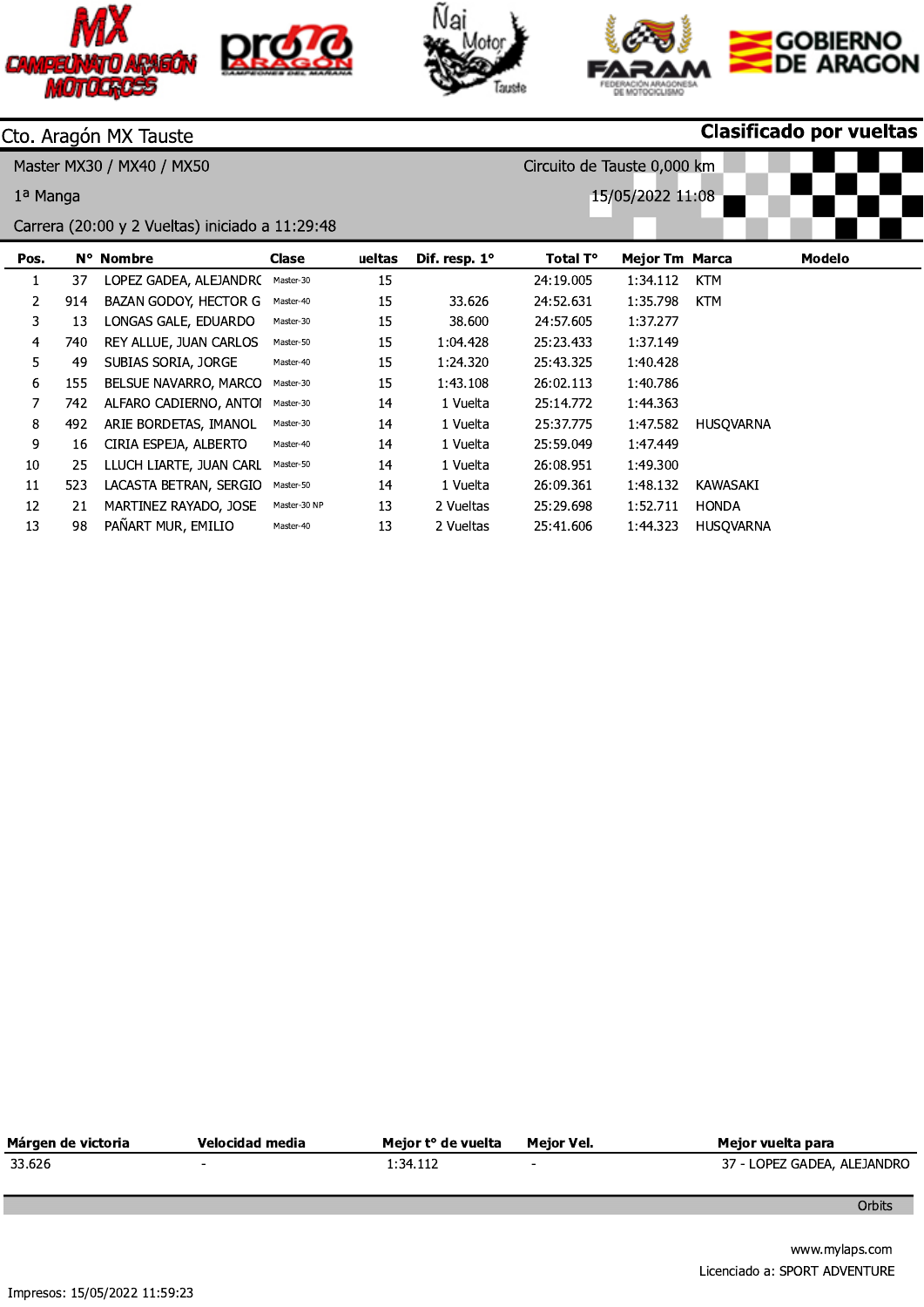





Circuito de Tauste 0,000 km

15/05/2022 11:08

Clasificado por vueltas

## Cto. Aragón MX Tauste

+12345+\R+\ R+\

1<sup>a</sup> Manga

| Pos. |     | N° Nombre               | Clase        | ueltas | Dif. resp. 1° | Total T°  | <b>Mejor Tm Marca</b> |                  | <b>Modelo</b> |
|------|-----|-------------------------|--------------|--------|---------------|-----------|-----------------------|------------------|---------------|
| 1    | 37  | LOPEZ GADEA, ALEJANDR(  | Master-30    | 15     |               | 24:19.005 | 1:34.112              | <b>KTM</b>       |               |
| 2    | 914 | BAZAN GODOY, HECTOR G   | Master-40    | 15     | 33.626        | 24:52.631 | 1:35.798              | <b>KTM</b>       |               |
| 3    | 13  | LONGAS GALE, EDUARDO    | Master-30    | 15     | 38.600        | 24:57.605 | 1:37.277              |                  |               |
| 4    | 740 | REY ALLUE, JUAN CARLOS  | Master-50    | 15     | 1:04.428      | 25:23.433 | 1:37.149              |                  |               |
| 5    | 49  | SUBIAS SORIA, JORGE     | Master-40    | 15     | 1:24.320      | 25:43.325 | 1:40.428              |                  |               |
| 6    | 155 | BELSUE NAVARRO, MARCC   | Master-30    | 15     | 1:43.108      | 26:02.113 | 1:40.786              |                  |               |
| 7    | 742 | ALFARO CADIERNO, ANTO   | Master-30    | 14     | 1 Vuelta      | 25:14.772 | 1:44.363              |                  |               |
| 8    | 492 | ARIE BORDETAS, IMANOL   | Master-30    | 14     | 1 Vuelta      | 25:37.775 | 1:47.582              | <b>HUSQVARNA</b> |               |
| 9    | 16  | CIRIA ESPEJA, ALBERTO   | Master-40    | 14     | 1 Vuelta      | 25:59.049 | 1:47.449              |                  |               |
| 10   | 25  | LLUCH LIARTE, JUAN CARL | Master-50    | 14     | 1 Vuelta      | 26:08.951 | 1:49.300              |                  |               |
| 11   | 523 | LACASTA BETRAN, SERGIC  | Master-50    | 14     | 1 Vuelta      | 26:09.361 | 1:48.132              | KAWASAKI         |               |
| 12   | 21  | MARTINEZ RAYADO, JOSE   | Master-30 NP | 13     | 2 Vueltas     | 25:29.698 | 1:52.711              | <b>HONDA</b>     |               |
| 13   | 98  | PAÑART MUR, EMILIO      | Master-40    | 13     | 2 Vueltas     | 25:41.606 | 1:44.323              | <b>HUSQVARNA</b> |               |
|      |     |                         |              |        |               |           |                       |                  |               |

| Márgen de victoria            | Velocidad media          | Mejor t° de vuelta | Mejor Vel.     | Mejor vuelta para             |
|-------------------------------|--------------------------|--------------------|----------------|-------------------------------|
| 33.626                        | $\overline{\phantom{a}}$ | 1:34.112           | $\blacksquare$ | 37 - LOPEZ GADEA, ALEJANDRO   |
|                               |                          |                    |                | Orbits                        |
|                               |                          |                    |                | www.mylaps.com                |
| Impresos: 15/05/2022 11:59:23 |                          |                    |                | Licenciado a: SPORT ADVENTURE |
|                               |                          |                    |                |                               |
|                               |                          |                    |                |                               |
|                               |                          |                    |                |                               |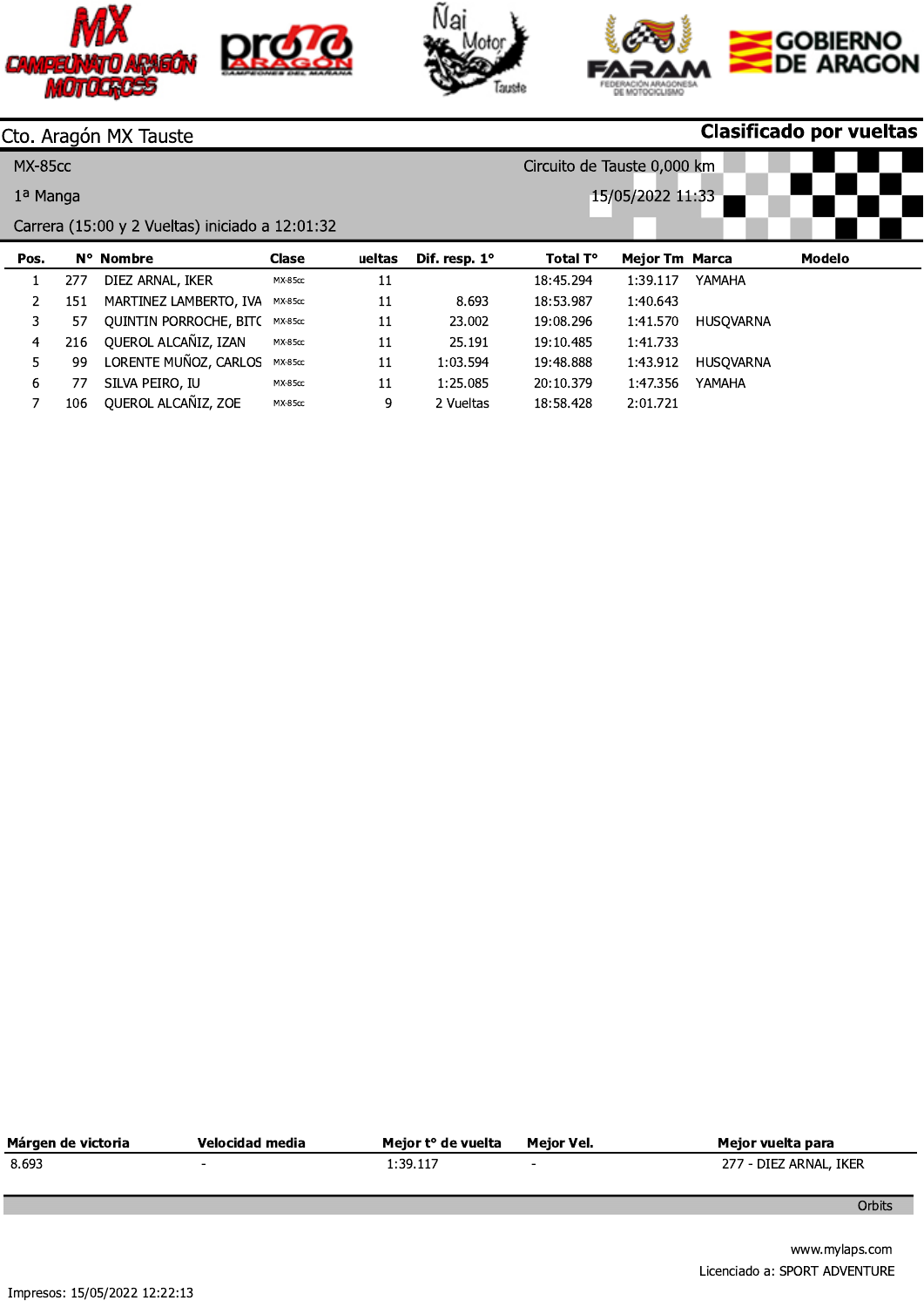





| CAMPEU               |     | <b>MOTOCROSS</b>                                |                |        |               |                             | DE MOTOCICLISM        |           | <b>GOBIERNO</b><br>DE ARAGON   |
|----------------------|-----|-------------------------------------------------|----------------|--------|---------------|-----------------------------|-----------------------|-----------|--------------------------------|
|                      |     | Cto. Aragón MX Tauste                           |                |        |               |                             |                       |           | <b>Clasificado por vueltas</b> |
| <b>MX-85cc</b>       |     |                                                 |                |        |               | Circuito de Tauste 0,000 km |                       |           |                                |
| 1 <sup>a</sup> Manga |     |                                                 |                |        |               |                             | 15/05/2022 11:33      |           |                                |
|                      |     | Carrera (15:00 y 2 Vueltas) iniciado a 12:01:32 |                |        |               |                             |                       |           |                                |
| Pos.                 |     | N° Nombre                                       | <b>Clase</b>   | ueltas | Dif. resp. 1° | Total T°                    | <b>Mejor Tm Marca</b> |           | <b>Modelo</b>                  |
| 1                    | 277 | DIEZ ARNAL, IKER                                | <b>MX-85cc</b> | 11     |               | 18:45.294                   | 1:39.117              | YAMAHA    |                                |
| 2                    | 151 | MARTINEZ LAMBERTO, IVA                          | <b>MX-85cc</b> | 11     | 8.693         | 18:53.987                   | 1:40.643              |           |                                |
| 3                    | 57  | QUINTIN PORROCHE, BIT(                          | <b>MX-85cc</b> | 11     | 23.002        | 19:08.296                   | 1:41.570              | HUSQVARNA |                                |
| 4                    | 216 | QUEROL ALCAÑIZ, IZAN                            | <b>MX-85cc</b> | 11     | 25.191        | 19:10.485                   | 1:41.733              |           |                                |
| 5                    | 99  | LORENTE MUÑOZ, CARLOS                           | <b>MX-85cc</b> | 11     | 1:03.594      | 19:48.888                   | 1:43.912              | HUSQVARNA |                                |
| 6                    | 77  | SILVA PEIRO, IU                                 | <b>MX-85cc</b> | 11     | 1:25.085      | 20:10.379                   | 1:47.356              | YAMAHA    |                                |
| $\overline{7}$       | 106 | QUEROL ALCAÑIZ, ZOE                             | <b>MX-85cc</b> | 9      | 2 Vueltas     | 18:58.428                   | 2:01.721              |           |                                |
|                      |     |                                                 |                |        |               |                             |                       |           |                                |

| Márgen de victoria | Velocidad media | Meior t° de vuelta | Meior Vel. | Meior vuelta para      |
|--------------------|-----------------|--------------------|------------|------------------------|
| 8.693              |                 | 1:39.117           |            | 277 - DIEZ ARNAL, IKER |
|                    |                 |                    |            |                        |